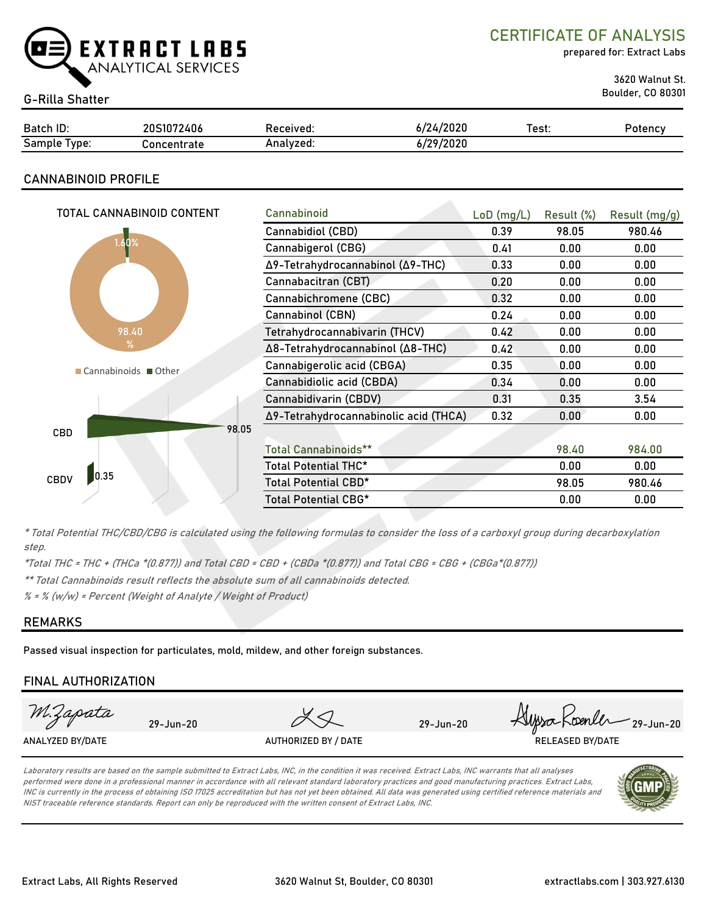

CERTIFICATE OF ANALYSIS

prepared for: Extract Labs

3620 Walnut St.

| <b>G-Rilla Shatter</b> |             |           |           |       | <b>Boulder, CO 80301</b> |  |
|------------------------|-------------|-----------|-----------|-------|--------------------------|--|
| Batch ID:              | 20S1072406  | Received: | 6/24/2020 | Test: | Potency                  |  |
| Sample Type:           | Concentrate | Analyzed: | 6/29/2020 |       |                          |  |

# CANNABINOID PROFILE

| TOTAL CANNABINOID CONTENT | Cannabinoid                           | $LoD$ (mg/L) | Result (%) | Result (mg/g) |
|---------------------------|---------------------------------------|--------------|------------|---------------|
|                           |                                       |              |            |               |
| 1.60%                     | Cannabidiol (CBD)                     | 0.39         | 98.05      | 980.46        |
|                           | Cannabigerol (CBG)                    | 0.41         | 0.00       | 0.00          |
|                           | Δ9-Tetrahydrocannabinol (Δ9-THC)      | 0.33         | 0.00       | 0.00          |
|                           | Cannabacitran (CBT)                   | 0.20         | 0.00       | 0.00          |
|                           | Cannabichromene (CBC)                 | 0.32         | 0.00       | 0.00          |
|                           | Cannabinol (CBN)                      | 0.24         | 0.00       | 0.00          |
| 98.40                     | Tetrahydrocannabivarin (THCV)         | 0.42         | 0.00       | 0.00          |
| $\frac{9}{6}$             | Δ8-Tetrahydrocannabinol (Δ8-THC)      | 0.42         | 0.00       | 0.00          |
| Cannabinoids Other        | Cannabigerolic acid (CBGA)            | 0.35         | 0.00       | 0.00          |
|                           | Cannabidiolic acid (CBDA)             | 0.34         | 0.00       | 0.00          |
|                           | Cannabidivarin (CBDV)                 | 0.31         | 0.35       | 3.54          |
|                           | Δ9-Tetrahydrocannabinolic acid (THCA) | 0.32         | 0.00       | 0.00          |
| 98.05<br><b>CBD</b>       |                                       |              |            |               |
|                           | <b>Total Cannabinoids**</b>           |              | 98.40      | 984.00        |
|                           | Total Potential THC*                  |              | 0.00       | 0.00          |
| 0.35<br><b>CBDV</b>       | Total Potential CBD*                  |              | 98.05      | 980.46        |
|                           | Total Potential CBG*                  |              | 0.00       | 0.00          |
|                           |                                       |              |            |               |

\* Total Potential THC/CBD/CBG is calculated using the following formulas to consider the loss of a carboxyl group during decarboxylation step.

\*Total THC = THC + (THCa \*(0.877)) and Total CBD = CBD + (CBDa \*(0.877)) and Total CBG = CBG + (CBGa\*(0.877))

\*\* Total Cannabinoids result reflects the absolute sum of all cannabinoids detected.

 $% =$  % (w/w) = Percent (Weight of Analyte / Weight of Product)

# REMARKS

Passed visual inspection for particulates, mold, mildew, and other foreign substances.

# FINAL AUTHORIZATION

| M.Zapata         | $29 - Jun - 20$ |                      | 29-Jun-20 | www.Koenler 29-Jun-20   |
|------------------|-----------------|----------------------|-----------|-------------------------|
| ANALYZED BY/DATE |                 | AUTHORIZED BY / DATE |           | <b>RELEASED BY/DATE</b> |
|                  |                 |                      |           |                         |

Laboratory results are based on the sample submitted to Extract Labs, INC, in the condition it was received. Extract Labs, INC warrants that all analyses performed were done in a professional manner in accordance with all relevant standard laboratory practices and good manufacturing practices. Extract Labs, INC is currently in the process of obtaining ISO 17025 accreditation but has not yet been obtained. All data was generated using certified reference materials and NIST traceable reference standards. Report can only be reproduced with the written consent of Extract Labs, INC.

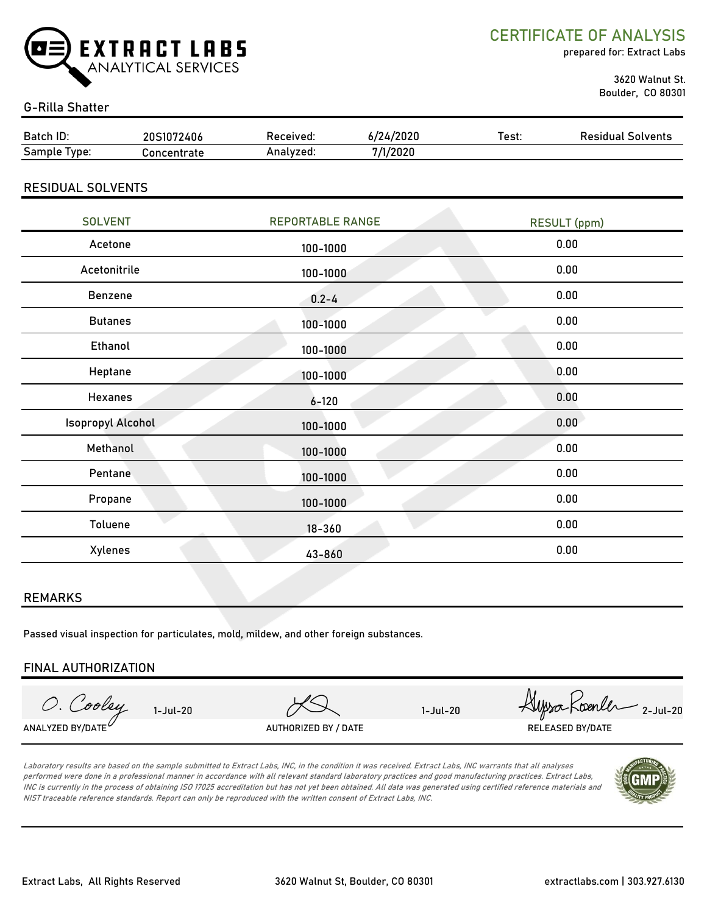

CERTIFICATE OF ANALYSIS

prepared for: Extract Labs

 3620 Walnut St. Boulder, CO 80301

### G-Rilla Shatter

| Batch ID:                | 6/24/2020<br>20S1072406<br>Received: |                         | Test:    | <b>Residual Solvents</b> |                     |  |
|--------------------------|--------------------------------------|-------------------------|----------|--------------------------|---------------------|--|
| Sample Type:             | Concentrate                          | Analyzed:               | 7/1/2020 |                          |                     |  |
| <b>RESIDUAL SOLVENTS</b> |                                      |                         |          |                          |                     |  |
| <b>SOLVENT</b>           |                                      | <b>REPORTABLE RANGE</b> |          |                          | <b>RESULT</b> (ppm) |  |
| Acetone                  |                                      | 100-1000                |          |                          | 0.00                |  |
| Acetonitrile             |                                      | 100-1000                |          |                          | 0.00                |  |
| <b>Benzene</b>           |                                      | $0.2 - 4$               |          |                          | 0.00                |  |
|                          |                                      |                         |          |                          | <b>000</b>          |  |

| <b>Butanes</b>           | 100-1000   | 0.00 |
|--------------------------|------------|------|
| Ethanol                  | 100-1000   | 0.00 |
| Heptane                  | 100-1000   | 0.00 |
| Hexanes                  | $6 - 120$  | 0.00 |
| <b>Isopropyl Alcohol</b> | 100-1000   | 0.00 |
| Methanol                 | 100-1000   | 0.00 |
| Pentane                  | 100-1000   | 0.00 |
| Propane                  | 100-1000   | 0.00 |
| Toluene                  | $18 - 360$ | 0.00 |
| Xylenes                  | 43-860     | 0.00 |

### REMARKS

Passed visual inspection for particulates, mold, mildew, and other foreign substances.

### FINAL AUTHORIZATION

1-Jul-20 Alyssa Roenler 2-Jul-20 O. Cooley ANALYZED BY/DATE $^{\nu}$  authorized by / Date the contract of the released by/date released by/date

Laboratory results are based on the sample submitted to Extract Labs, INC, in the condition it was received. Extract Labs, INC warrants that all analyses performed were done in a professional manner in accordance with all relevant standard laboratory practices and good manufacturing practices. Extract Labs, INC is currently in the process of obtaining ISO 17025 accreditation but has not yet been obtained. All data was generated using certified reference materials and NIST traceable reference standards. Report can only be reproduced with the written consent of Extract Labs, INC.